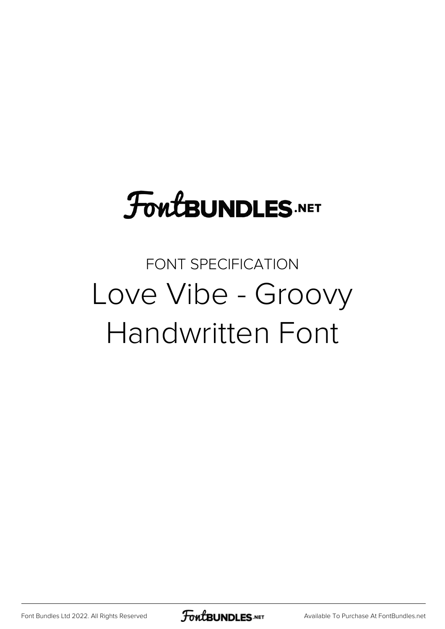# **FoutBUNDLES.NET**

### FONT SPECIFICATION Love Vibe - Groovy Handwritten Font

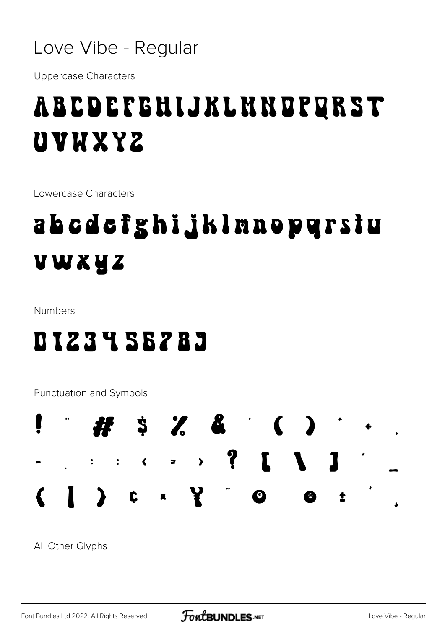

**Uppercase Characters** 

## *ABCDEFGHIJKLMNDPQRST* UVWXYZ

Lowercase Characters

# abcdcfghijklnnopgrstu VWXYZ

Numbers

### DIZ3YSBZ83

Punctuation and Symbols



All Other Glyphs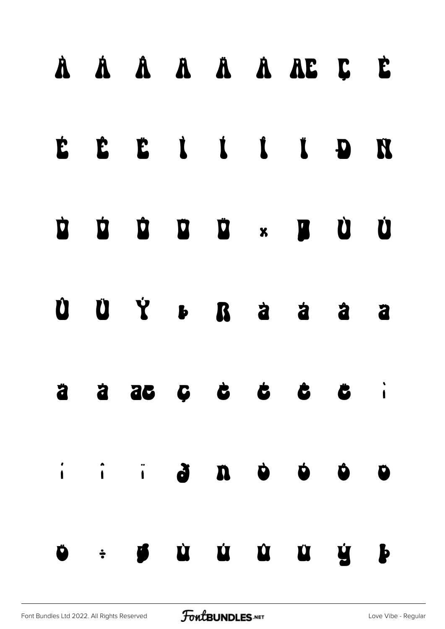|  |  |  | À À Â Â Â Ä À Æ Ç È        |  |
|--|--|--|----------------------------|--|
|  |  |  | E È È İ İ İ İ D H          |  |
|  |  |  |                            |  |
|  |  |  |                            |  |
|  |  |  | $\ddot{a}$ a a c c c c c i |  |
|  |  |  |                            |  |
|  |  |  |                            |  |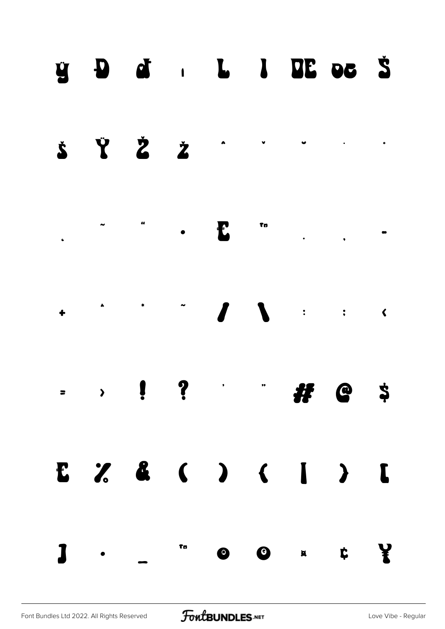#### $\ddot{y}$  D of  $L$  L I DE oc  $\ddot{S}$



Tn Ł  $\bullet$  $\overline{\phantom{a}}$  $\bullet$ 

 $\sqrt{2}$  $\boldsymbol{\ell}$  $\mathcal{L}^{\text{max}}_{\text{max}}$  . The  $\mathcal{L}^{\text{max}}_{\text{max}}$  $\mathbf{R}$  $\ddot{\bullet}$ 

 $\ddot{\mathbf{?}}$  $\sum_{i=1}^{n}$  $\ddot{\phantom{1}}$  $\ddot{\bm{z}}$  $#$   $@$  $\cdot$  $\blacksquare$